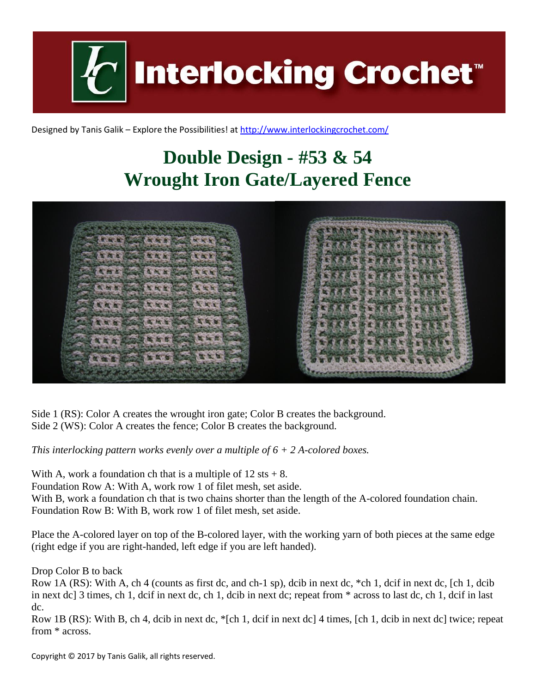**Interlocking Crochet™** 

Designed by Tanis Galik – Explore the Possibilities! a[t http://www.interlockingcrochet.com/](http://www.interlockingcrochet.com/)

## **Double Design - #53 & 54 Wrought Iron Gate/Layered Fence**



Side 1 (RS): Color A creates the wrought iron gate; Color B creates the background. Side 2 (WS): Color A creates the fence; Color B creates the background.

*This interlocking pattern works evenly over a multiple of 6 + 2 A-colored boxes.*

With A, work a foundation ch that is a multiple of  $12 \text{ sts} + 8$ . Foundation Row A: With A, work row 1 of filet mesh, set aside. With B, work a foundation ch that is two chains shorter than the length of the A-colored foundation chain. Foundation Row B: With B, work row 1 of filet mesh, set aside.

Place the A-colored layer on top of the B-colored layer, with the working yarn of both pieces at the same edge (right edge if you are right-handed, left edge if you are left handed).

Drop Color B to back

Row 1A (RS): With A, ch 4 (counts as first dc, and ch-1 sp), dcib in next dc, \*ch 1, dcif in next dc, [ch 1, dcib in next dc] 3 times, ch 1, dcif in next dc, ch 1, dcib in next dc; repeat from \* across to last dc, ch 1, dcif in last dc.

Row 1B (RS): With B, ch 4, dcib in next dc, \*[ch 1, dcif in next dc] 4 times, [ch 1, dcib in next dc] twice; repeat from \* across.

Copyright © 2017 by Tanis Galik, all rights reserved.